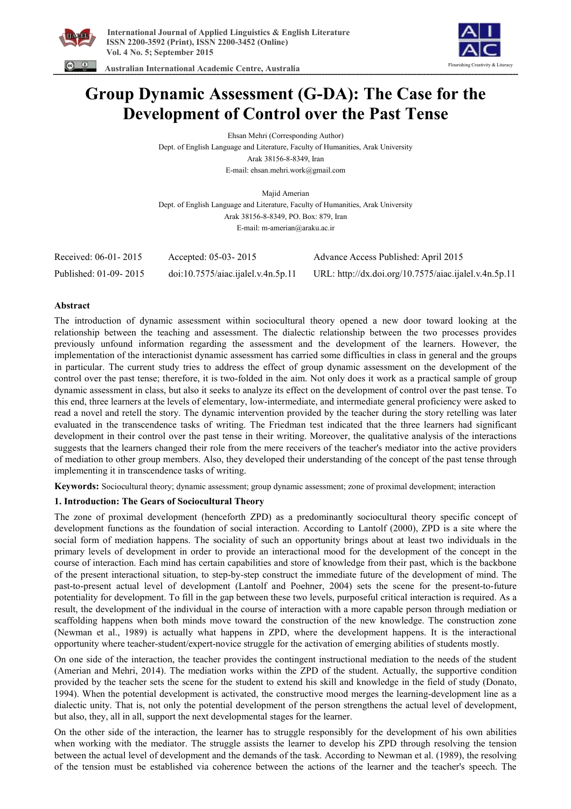



 **Australian International Academic Centre, Australia** 

# **Group Dynamic Assessment (G-DA): The Case for the Development of Control over the Past Tense**

Ehsan Mehri (Corresponding Author) Dept. of English Language and Literature, Faculty of Humanities, Arak University Arak 38156-8-8349, Iran E-mail: ehsan.mehri.work@gmail.com

Majid Amerian Dept. of English Language and Literature, Faculty of Humanities, Arak University Arak 38156-8-8349, PO. Box: 879, Iran E-mail: m-amerian@araku.ac.ir

| Received: 06-01-2015  | Accepted: 05-03-2015              | Advance Access Published: April 2015                  |
|-----------------------|-----------------------------------|-------------------------------------------------------|
| Published: 01-09-2015 | doi:10.7575/aiac.jalel.v.4n.5p.11 | URL: http://dx.doi.org/10.7575/aiac.ijalel.v.4n.5p.11 |

# **Abstract**

The introduction of dynamic assessment within sociocultural theory opened a new door toward looking at the relationship between the teaching and assessment. The dialectic relationship between the two processes provides previously unfound information regarding the assessment and the development of the learners. However, the implementation of the interactionist dynamic assessment has carried some difficulties in class in general and the groups in particular. The current study tries to address the effect of group dynamic assessment on the development of the control over the past tense; therefore, it is two-folded in the aim. Not only does it work as a practical sample of group dynamic assessment in class, but also it seeks to analyze its effect on the development of control over the past tense. To this end, three learners at the levels of elementary, low-intermediate, and intermediate general proficiency were asked to read a novel and retell the story. The dynamic intervention provided by the teacher during the story retelling was later evaluated in the transcendence tasks of writing. The Friedman test indicated that the three learners had significant development in their control over the past tense in their writing. Moreover, the qualitative analysis of the interactions suggests that the learners changed their role from the mere receivers of the teacher's mediator into the active providers of mediation to other group members. Also, they developed their understanding of the concept of the past tense through implementing it in transcendence tasks of writing.

**Keywords:** Sociocultural theory; dynamic assessment; group dynamic assessment; zone of proximal development; interaction

# **1. Introduction: The Gears of Sociocultural Theory**

The zone of proximal development (henceforth ZPD) as a predominantly sociocultural theory specific concept of development functions as the foundation of social interaction. According to Lantolf (2000), ZPD is a site where the social form of mediation happens. The sociality of such an opportunity brings about at least two individuals in the primary levels of development in order to provide an interactional mood for the development of the concept in the course of interaction. Each mind has certain capabilities and store of knowledge from their past, which is the backbone of the present interactional situation, to step-by-step construct the immediate future of the development of mind. The past-to-present actual level of development (Lantolf and Poehner, 2004) sets the scene for the present-to-future potentiality for development. To fill in the gap between these two levels, purposeful critical interaction is required. As a result, the development of the individual in the course of interaction with a more capable person through mediation or scaffolding happens when both minds move toward the construction of the new knowledge. The construction zone (Newman et al., 1989) is actually what happens in ZPD, where the development happens. It is the interactional opportunity where teacher-student/expert-novice struggle for the activation of emerging abilities of students mostly.

On one side of the interaction, the teacher provides the contingent instructional mediation to the needs of the student (Amerian and Mehri, 2014). The mediation works within the ZPD of the student. Actually, the supportive condition provided by the teacher sets the scene for the student to extend his skill and knowledge in the field of study (Donato, 1994). When the potential development is activated, the constructive mood merges the learning-development line as a dialectic unity. That is, not only the potential development of the person strengthens the actual level of development, but also, they, all in all, support the next developmental stages for the learner.

On the other side of the interaction, the learner has to struggle responsibly for the development of his own abilities when working with the mediator. The struggle assists the learner to develop his ZPD through resolving the tension between the actual level of development and the demands of the task. According to Newman et al. (1989), the resolving of the tension must be established via coherence between the actions of the learner and the teacher's speech. The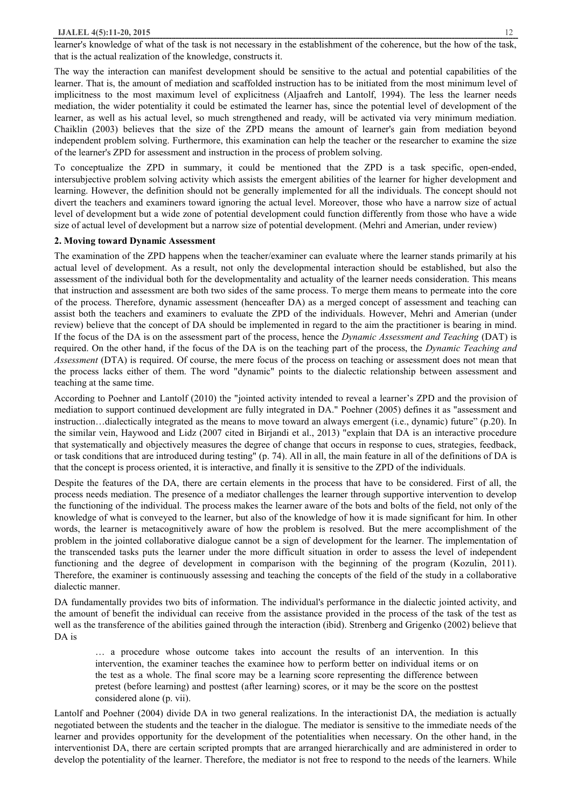learner's knowledge of what of the task is not necessary in the establishment of the coherence, but the how of the task, that is the actual realization of the knowledge, constructs it.

The way the interaction can manifest development should be sensitive to the actual and potential capabilities of the learner. That is, the amount of mediation and scaffolded instruction has to be initiated from the most minimum level of implicitness to the most maximum level of explicitness (Aljaafreh and Lantolf, 1994). The less the learner needs mediation, the wider potentiality it could be estimated the learner has, since the potential level of development of the learner, as well as his actual level, so much strengthened and ready, will be activated via very minimum mediation. Chaiklin (2003) believes that the size of the ZPD means the amount of learner's gain from mediation beyond independent problem solving. Furthermore, this examination can help the teacher or the researcher to examine the size of the learner's ZPD for assessment and instruction in the process of problem solving.

To conceptualize the ZPD in summary, it could be mentioned that the ZPD is a task specific, open-ended, intersubjective problem solving activity which assists the emergent abilities of the learner for higher development and learning. However, the definition should not be generally implemented for all the individuals. The concept should not divert the teachers and examiners toward ignoring the actual level. Moreover, those who have a narrow size of actual level of development but a wide zone of potential development could function differently from those who have a wide size of actual level of development but a narrow size of potential development. (Mehri and Amerian, under review)

#### **2. Moving toward Dynamic Assessment**

The examination of the ZPD happens when the teacher/examiner can evaluate where the learner stands primarily at his actual level of development. As a result, not only the developmental interaction should be established, but also the assessment of the individual both for the developmentality and actuality of the learner needs consideration. This means that instruction and assessment are both two sides of the same process. To merge them means to permeate into the core of the process. Therefore, dynamic assessment (henceafter DA) as a merged concept of assessment and teaching can assist both the teachers and examiners to evaluate the ZPD of the individuals. However, Mehri and Amerian (under review) believe that the concept of DA should be implemented in regard to the aim the practitioner is bearing in mind. If the focus of the DA is on the assessment part of the process, hence the *Dynamic Assessment and Teaching* (DAT) is required. On the other hand, if the focus of the DA is on the teaching part of the process, the *Dynamic Teaching and Assessment* (DTA) is required. Of course, the mere focus of the process on teaching or assessment does not mean that the process lacks either of them. The word "dynamic" points to the dialectic relationship between assessment and teaching at the same time.

According to Poehner and Lantolf (2010) the "jointed activity intended to reveal a learner's ZPD and the provision of mediation to support continued development are fully integrated in DA." Poehner (2005) defines it as "assessment and instruction…dialectically integrated as the means to move toward an always emergent (i.e., dynamic) future" (p.20). In the similar vein, Haywood and Lidz (2007 cited in Birjandi et al., 2013) "explain that DA is an interactive procedure that systematically and objectively measures the degree of change that occurs in response to cues, strategies, feedback, or task conditions that are introduced during testing" (p. 74). All in all, the main feature in all of the definitions of DA is that the concept is process oriented, it is interactive, and finally it is sensitive to the ZPD of the individuals.

Despite the features of the DA, there are certain elements in the process that have to be considered. First of all, the process needs mediation. The presence of a mediator challenges the learner through supportive intervention to develop the functioning of the individual. The process makes the learner aware of the bots and bolts of the field, not only of the knowledge of what is conveyed to the learner, but also of the knowledge of how it is made significant for him. In other words, the learner is metacognitively aware of how the problem is resolved. But the mere accomplishment of the problem in the jointed collaborative dialogue cannot be a sign of development for the learner. The implementation of the transcended tasks puts the learner under the more difficult situation in order to assess the level of independent functioning and the degree of development in comparison with the beginning of the program (Kozulin, 2011). Therefore, the examiner is continuously assessing and teaching the concepts of the field of the study in a collaborative dialectic manner.

DA fundamentally provides two bits of information. The individual's performance in the dialectic jointed activity, and the amount of benefit the individual can receive from the assistance provided in the process of the task of the test as well as the transference of the abilities gained through the interaction (ibid). Strenberg and Grigenko (2002) believe that DA is

… a procedure whose outcome takes into account the results of an intervention. In this intervention, the examiner teaches the examinee how to perform better on individual items or on the test as a whole. The final score may be a learning score representing the difference between pretest (before learning) and posttest (after learning) scores, or it may be the score on the posttest considered alone (p. vii).

Lantolf and Poehner (2004) divide DA in two general realizations. In the interactionist DA, the mediation is actually negotiated between the students and the teacher in the dialogue. The mediator is sensitive to the immediate needs of the learner and provides opportunity for the development of the potentialities when necessary. On the other hand, in the interventionist DA, there are certain scripted prompts that are arranged hierarchically and are administered in order to develop the potentiality of the learner. Therefore, the mediator is not free to respond to the needs of the learners. While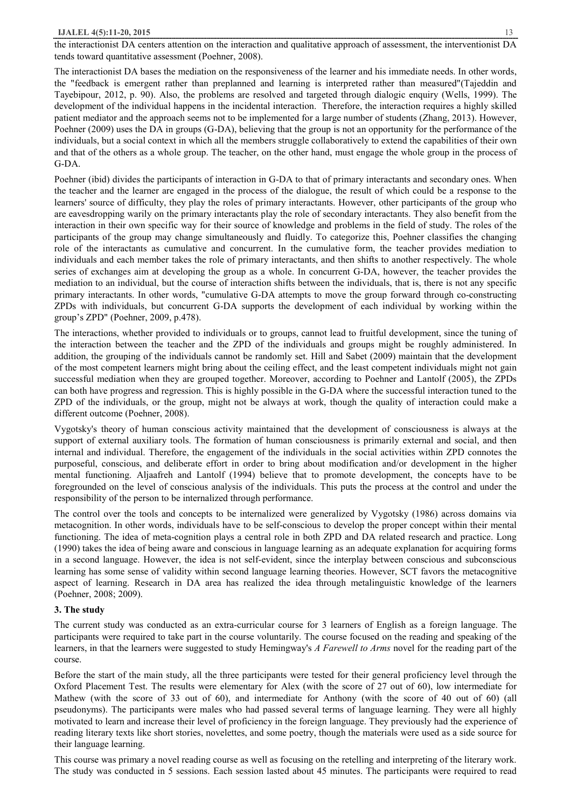the interactionist DA centers attention on the interaction and qualitative approach of assessment, the interventionist DA tends toward quantitative assessment (Poehner, 2008).

The interactionist DA bases the mediation on the responsiveness of the learner and his immediate needs. In other words, the "feedback is emergent rather than preplanned and learning is interpreted rather than measured"(Tajeddin and Tayebipour, 2012, p. 90). Also, the problems are resolved and targeted through dialogic enquiry (Wells, 1999). The development of the individual happens in the incidental interaction. Therefore, the interaction requires a highly skilled patient mediator and the approach seems not to be implemented for a large number of students (Zhang, 2013). However, Poehner (2009) uses the DA in groups (G-DA), believing that the group is not an opportunity for the performance of the individuals, but a social context in which all the members struggle collaboratively to extend the capabilities of their own and that of the others as a whole group. The teacher, on the other hand, must engage the whole group in the process of G-DA.

Poehner (ibid) divides the participants of interaction in G-DA to that of primary interactants and secondary ones. When the teacher and the learner are engaged in the process of the dialogue, the result of which could be a response to the learners' source of difficulty, they play the roles of primary interactants. However, other participants of the group who are eavesdropping warily on the primary interactants play the role of secondary interactants. They also benefit from the interaction in their own specific way for their source of knowledge and problems in the field of study. The roles of the participants of the group may change simultaneously and fluidly. To categorize this, Poehner classifies the changing role of the interactants as cumulative and concurrent. In the cumulative form, the teacher provides mediation to individuals and each member takes the role of primary interactants, and then shifts to another respectively. The whole series of exchanges aim at developing the group as a whole. In concurrent G-DA, however, the teacher provides the mediation to an individual, but the course of interaction shifts between the individuals, that is, there is not any specific primary interactants. In other words, "cumulative G-DA attempts to move the group forward through co-constructing ZPDs with individuals, but concurrent G-DA supports the development of each individual by working within the group's ZPD" (Poehner, 2009, p.478).

The interactions, whether provided to individuals or to groups, cannot lead to fruitful development, since the tuning of the interaction between the teacher and the ZPD of the individuals and groups might be roughly administered. In addition, the grouping of the individuals cannot be randomly set. Hill and Sabet (2009) maintain that the development of the most competent learners might bring about the ceiling effect, and the least competent individuals might not gain successful mediation when they are grouped together. Moreover, according to Poehner and Lantolf (2005), the ZPDs can both have progress and regression. This is highly possible in the G-DA where the successful interaction tuned to the ZPD of the individuals, or the group, might not be always at work, though the quality of interaction could make a different outcome (Poehner, 2008).

Vygotsky's theory of human conscious activity maintained that the development of consciousness is always at the support of external auxiliary tools. The formation of human consciousness is primarily external and social, and then internal and individual. Therefore, the engagement of the individuals in the social activities within ZPD connotes the purposeful, conscious, and deliberate effort in order to bring about modification and/or development in the higher mental functioning. Aljaafreh and Lantolf (1994) believe that to promote development, the concepts have to be foregrounded on the level of conscious analysis of the individuals. This puts the process at the control and under the responsibility of the person to be internalized through performance.

The control over the tools and concepts to be internalized were generalized by Vygotsky (1986) across domains via metacognition. In other words, individuals have to be self-conscious to develop the proper concept within their mental functioning. The idea of meta-cognition plays a central role in both ZPD and DA related research and practice. Long (1990) takes the idea of being aware and conscious in language learning as an adequate explanation for acquiring forms in a second language. However, the idea is not self-evident, since the interplay between conscious and subconscious learning has some sense of validity within second language learning theories. However, SCT favors the metacognitive aspect of learning. Research in DA area has realized the idea through metalinguistic knowledge of the learners (Poehner, 2008; 2009).

## **3. The study**

The current study was conducted as an extra-curricular course for 3 learners of English as a foreign language. The participants were required to take part in the course voluntarily. The course focused on the reading and speaking of the learners, in that the learners were suggested to study Hemingway's *A Farewell to Arms* novel for the reading part of the course.

Before the start of the main study, all the three participants were tested for their general proficiency level through the Oxford Placement Test. The results were elementary for Alex (with the score of 27 out of 60), low intermediate for Mathew (with the score of 33 out of 60), and intermediate for Anthony (with the score of 40 out of 60) (all pseudonyms). The participants were males who had passed several terms of language learning. They were all highly motivated to learn and increase their level of proficiency in the foreign language. They previously had the experience of reading literary texts like short stories, novelettes, and some poetry, though the materials were used as a side source for their language learning.

This course was primary a novel reading course as well as focusing on the retelling and interpreting of the literary work. The study was conducted in 5 sessions. Each session lasted about 45 minutes. The participants were required to read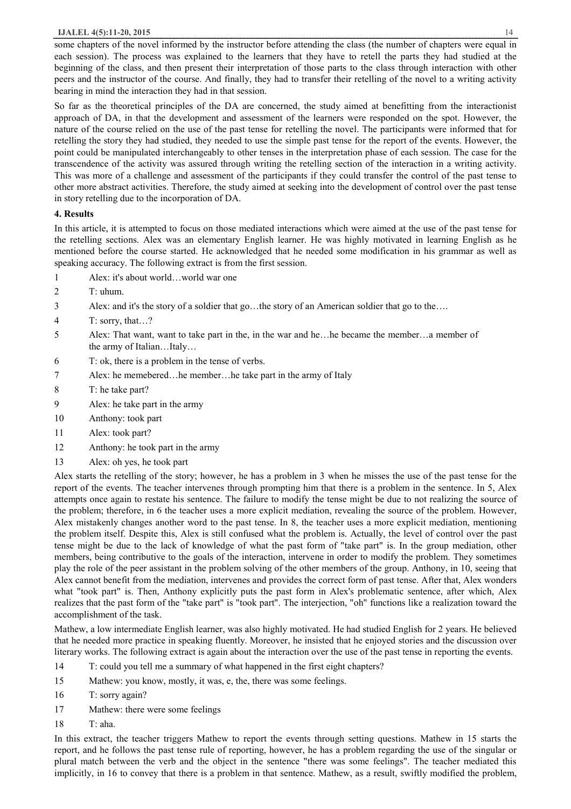some chapters of the novel informed by the instructor before attending the class (the number of chapters were equal in each session). The process was explained to the learners that they have to retell the parts they had studied at the beginning of the class, and then present their interpretation of those parts to the class through interaction with other peers and the instructor of the course. And finally, they had to transfer their retelling of the novel to a writing activity bearing in mind the interaction they had in that session.

So far as the theoretical principles of the DA are concerned, the study aimed at benefitting from the interactionist approach of DA, in that the development and assessment of the learners were responded on the spot. However, the nature of the course relied on the use of the past tense for retelling the novel. The participants were informed that for retelling the story they had studied, they needed to use the simple past tense for the report of the events. However, the point could be manipulated interchangeably to other tenses in the interpretation phase of each session. The case for the transcendence of the activity was assured through writing the retelling section of the interaction in a writing activity. This was more of a challenge and assessment of the participants if they could transfer the control of the past tense to other more abstract activities. Therefore, the study aimed at seeking into the development of control over the past tense in story retelling due to the incorporation of DA.

# **4. Results**

In this article, it is attempted to focus on those mediated interactions which were aimed at the use of the past tense for the retelling sections. Alex was an elementary English learner. He was highly motivated in learning English as he mentioned before the course started. He acknowledged that he needed some modification in his grammar as well as speaking accuracy. The following extract is from the first session.

- 1 Alex: it's about world…world war one
- 2  $T:$  uhum.
- 3 Alex: and it's the story of a soldier that go…the story of an American soldier that go to the….
- 4 T: sorry, that…?
- 5 Alex: That want, want to take part in the, in the war and he…he became the member…a member of the army of Italian…Italy…
- 6 T: ok, there is a problem in the tense of verbs.
- 7 Alex: he memebered…he member…he take part in the army of Italy
- 8 T: he take part?
- 9 Alex: he take part in the army
- 10 Anthony: took part
- 11 Alex: took part?
- 12 Anthony: he took part in the army
- 13 Alex: oh yes, he took part

Alex starts the retelling of the story; however, he has a problem in 3 when he misses the use of the past tense for the report of the events. The teacher intervenes through prompting him that there is a problem in the sentence. In 5, Alex attempts once again to restate his sentence. The failure to modify the tense might be due to not realizing the source of the problem; therefore, in 6 the teacher uses a more explicit mediation, revealing the source of the problem. However, Alex mistakenly changes another word to the past tense. In 8, the teacher uses a more explicit mediation, mentioning the problem itself. Despite this, Alex is still confused what the problem is. Actually, the level of control over the past tense might be due to the lack of knowledge of what the past form of "take part" is. In the group mediation, other members, being contributive to the goals of the interaction, intervene in order to modify the problem. They sometimes play the role of the peer assistant in the problem solving of the other members of the group. Anthony, in 10, seeing that Alex cannot benefit from the mediation, intervenes and provides the correct form of past tense. After that, Alex wonders what "took part" is. Then, Anthony explicitly puts the past form in Alex's problematic sentence, after which, Alex realizes that the past form of the "take part" is "took part". The interjection, "oh" functions like a realization toward the accomplishment of the task.

Mathew, a low intermediate English learner, was also highly motivated. He had studied English for 2 years. He believed that he needed more practice in speaking fluently. Moreover, he insisted that he enjoyed stories and the discussion over literary works. The following extract is again about the interaction over the use of the past tense in reporting the events.

14 T: could you tell me a summary of what happened in the first eight chapters?

- 15 Mathew: you know, mostly, it was, e, the, there was some feelings.
- 16 T: sorry again?
- 17 Mathew: there were some feelings
- 18 T: aha.

In this extract, the teacher triggers Mathew to report the events through setting questions. Mathew in 15 starts the report, and he follows the past tense rule of reporting, however, he has a problem regarding the use of the singular or plural match between the verb and the object in the sentence "there was some feelings". The teacher mediated this implicitly, in 16 to convey that there is a problem in that sentence. Mathew, as a result, swiftly modified the problem,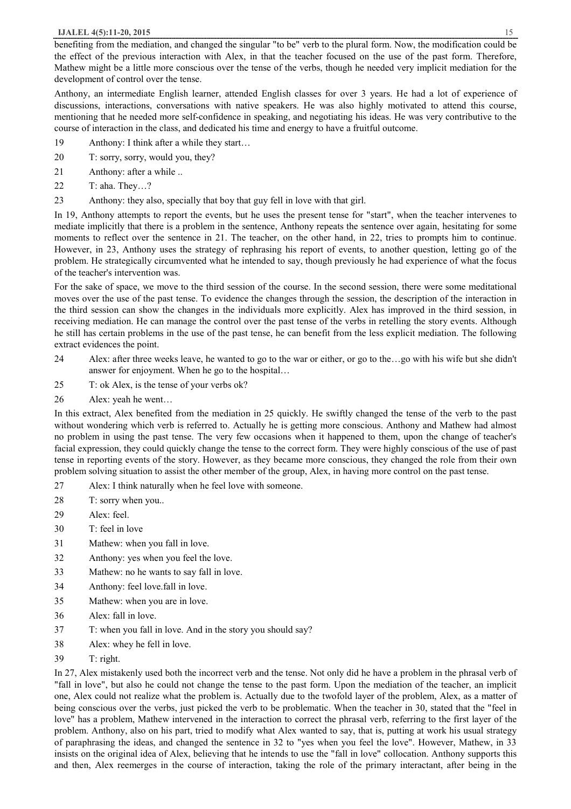benefiting from the mediation, and changed the singular "to be" verb to the plural form. Now, the modification could be the effect of the previous interaction with Alex, in that the teacher focused on the use of the past form. Therefore, Mathew might be a little more conscious over the tense of the verbs, though he needed very implicit mediation for the development of control over the tense.

Anthony, an intermediate English learner, attended English classes for over 3 years. He had a lot of experience of discussions, interactions, conversations with native speakers. He was also highly motivated to attend this course, mentioning that he needed more self-confidence in speaking, and negotiating his ideas. He was very contributive to the course of interaction in the class, and dedicated his time and energy to have a fruitful outcome.

- 19 Anthony: I think after a while they start…
- 20 T: sorry, sorry, would you, they?
- 21 Anthony: after a while ..
- 22 T: aha. They…?
- 23 Anthony: they also, specially that boy that guy fell in love with that girl.

In 19, Anthony attempts to report the events, but he uses the present tense for "start", when the teacher intervenes to mediate implicitly that there is a problem in the sentence, Anthony repeats the sentence over again, hesitating for some moments to reflect over the sentence in 21. The teacher, on the other hand, in 22, tries to prompts him to continue. However, in 23, Anthony uses the strategy of rephrasing his report of events, to another question, letting go of the problem. He strategically circumvented what he intended to say, though previously he had experience of what the focus of the teacher's intervention was.

For the sake of space, we move to the third session of the course. In the second session, there were some meditational moves over the use of the past tense. To evidence the changes through the session, the description of the interaction in the third session can show the changes in the individuals more explicitly. Alex has improved in the third session, in receiving mediation. He can manage the control over the past tense of the verbs in retelling the story events. Although he still has certain problems in the use of the past tense, he can benefit from the less explicit mediation. The following extract evidences the point.

- 24 Alex: after three weeks leave, he wanted to go to the war or either, or go to the…go with his wife but she didn't answer for enjoyment. When he go to the hospital…
- 25 T: ok Alex, is the tense of your verbs ok?
- 26 Alex: yeah he went…

In this extract, Alex benefited from the mediation in 25 quickly. He swiftly changed the tense of the verb to the past without wondering which verb is referred to. Actually he is getting more conscious. Anthony and Mathew had almost no problem in using the past tense. The very few occasions when it happened to them, upon the change of teacher's facial expression, they could quickly change the tense to the correct form. They were highly conscious of the use of past tense in reporting events of the story. However, as they became more conscious, they changed the role from their own problem solving situation to assist the other member of the group, Alex, in having more control on the past tense.

- 27 Alex: I think naturally when he feel love with someone.
- 28 T: sorry when you..
- 29 Alex: feel.
- 30 T: feel in love
- 31 Mathew: when you fall in love.
- 32 Anthony: yes when you feel the love.
- 33 Mathew: no he wants to say fall in love.
- 34 Anthony: feel love.fall in love.
- 35 Mathew: when you are in love.
- 36 Alex: fall in love.
- 37 T: when you fall in love. And in the story you should say?
- 38 Alex: whey he fell in love.
- 39 T: right.

In 27, Alex mistakenly used both the incorrect verb and the tense. Not only did he have a problem in the phrasal verb of "fall in love", but also he could not change the tense to the past form. Upon the mediation of the teacher, an implicit one, Alex could not realize what the problem is. Actually due to the twofold layer of the problem, Alex, as a matter of being conscious over the verbs, just picked the verb to be problematic. When the teacher in 30, stated that the "feel in love" has a problem, Mathew intervened in the interaction to correct the phrasal verb, referring to the first layer of the problem. Anthony, also on his part, tried to modify what Alex wanted to say, that is, putting at work his usual strategy of paraphrasing the ideas, and changed the sentence in 32 to "yes when you feel the love". However, Mathew, in 33 insists on the original idea of Alex, believing that he intends to use the "fall in love" collocation. Anthony supports this and then, Alex reemerges in the course of interaction, taking the role of the primary interactant, after being in the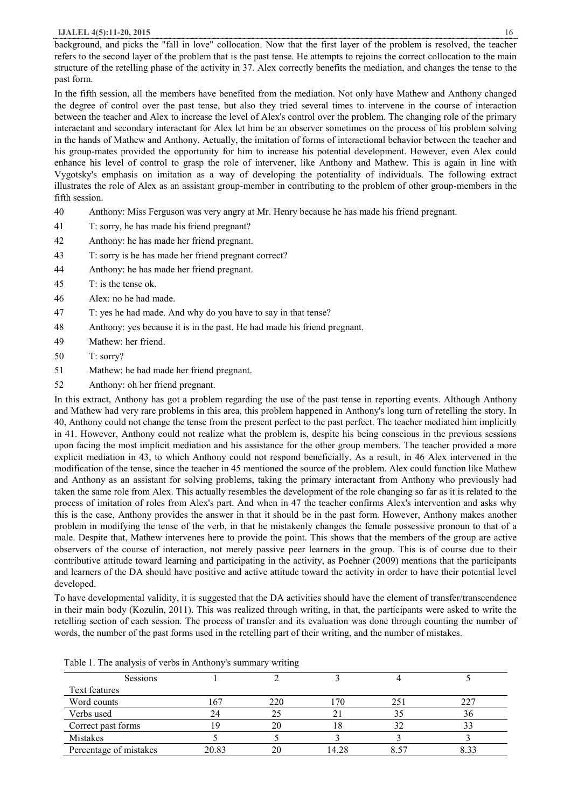In the fifth session, all the members have benefited from the mediation. Not only have Mathew and Anthony changed the degree of control over the past tense, but also they tried several times to intervene in the course of interaction between the teacher and Alex to increase the level of Alex's control over the problem. The changing role of the primary interactant and secondary interactant for Alex let him be an observer sometimes on the process of his problem solving in the hands of Mathew and Anthony. Actually, the imitation of forms of interactional behavior between the teacher and his group-mates provided the opportunity for him to increase his potential development. However, even Alex could enhance his level of control to grasp the role of intervener, like Anthony and Mathew. This is again in line with Vygotsky's emphasis on imitation as a way of developing the potentiality of individuals. The following extract illustrates the role of Alex as an assistant group-member in contributing to the problem of other group-members in the fifth session.

- 40 Anthony: Miss Ferguson was very angry at Mr. Henry because he has made his friend pregnant.
- 41 T: sorry, he has made his friend pregnant?
- 42 Anthony: he has made her friend pregnant.
- 43 T: sorry is he has made her friend pregnant correct?
- 44 Anthony: he has made her friend pregnant.
- 45 T: is the tense ok.
- 46 Alex: no he had made.
- 47 T: yes he had made. And why do you have to say in that tense?
- 48 Anthony: yes because it is in the past. He had made his friend pregnant.
- 49 Mathew: her friend.
- 50 T: sorry?
- 51 Mathew: he had made her friend pregnant.
- 52 Anthony: oh her friend pregnant.

In this extract, Anthony has got a problem regarding the use of the past tense in reporting events. Although Anthony and Mathew had very rare problems in this area, this problem happened in Anthony's long turn of retelling the story. In 40, Anthony could not change the tense from the present perfect to the past perfect. The teacher mediated him implicitly in 41. However, Anthony could not realize what the problem is, despite his being conscious in the previous sessions upon facing the most implicit mediation and his assistance for the other group members. The teacher provided a more explicit mediation in 43, to which Anthony could not respond beneficially. As a result, in 46 Alex intervened in the modification of the tense, since the teacher in 45 mentioned the source of the problem. Alex could function like Mathew and Anthony as an assistant for solving problems, taking the primary interactant from Anthony who previously had taken the same role from Alex. This actually resembles the development of the role changing so far as it is related to the process of imitation of roles from Alex's part. And when in 47 the teacher confirms Alex's intervention and asks why this is the case, Anthony provides the answer in that it should be in the past form. However, Anthony makes another problem in modifying the tense of the verb, in that he mistakenly changes the female possessive pronoun to that of a male. Despite that, Mathew intervenes here to provide the point. This shows that the members of the group are active observers of the course of interaction, not merely passive peer learners in the group. This is of course due to their contributive attitude toward learning and participating in the activity, as Poehner (2009) mentions that the participants and learners of the DA should have positive and active attitude toward the activity in order to have their potential level developed.

To have developmental validity, it is suggested that the DA activities should have the element of transfer/transcendence in their main body (Kozulin, 2011). This was realized through writing, in that, the participants were asked to write the retelling section of each session. The process of transfer and its evaluation was done through counting the number of words, the number of the past forms used in the retelling part of their writing, and the number of mistakes.

| Sessions               |       |     |       |     |      |
|------------------------|-------|-----|-------|-----|------|
| Text features          |       |     |       |     |      |
| Word counts            | 167   | 220 | 70    | 25. | 227  |
| Verbs used             |       |     |       |     | 36   |
| Correct past forms     |       | 20  |       |     |      |
| Mistakes               |       |     |       |     |      |
| Percentage of mistakes | 20.83 |     | 14.28 |     | 8.33 |

Table 1. The analysis of verbs in Anthony's summary writing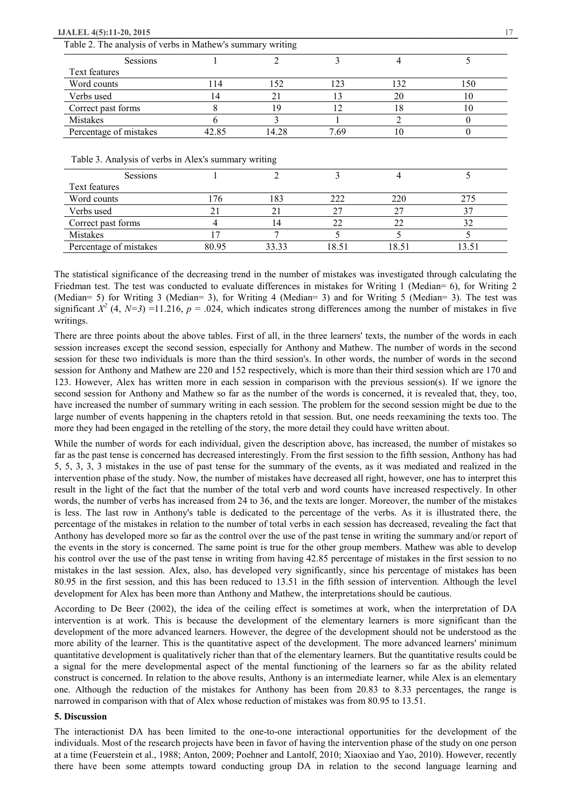| Sessions               |       |       |      |     |     |
|------------------------|-------|-------|------|-----|-----|
| Text features          |       |       |      |     |     |
| Word counts            | l 14  | 152   | 123  | 132 | 150 |
| Verbs used             | 14    | 21    |      | 20  | 10  |
| Correct past forms     |       | 19    | 12   | 18  | 10  |
| Mistakes               |       |       |      |     |     |
| Percentage of mistakes | 42.85 | 14.28 | 7.69 | 10  |     |

| <b>Sessions</b>        |       |       |       |       |       |
|------------------------|-------|-------|-------|-------|-------|
| Text features          |       |       |       |       |       |
| Word counts            | l 76  | 183   | 222   | 220   | 275   |
| Verbs used             |       |       | 27    | 27    |       |
| Correct past forms     |       | . 4   | 22    | 22    |       |
| Mistakes               |       |       |       |       |       |
| Percentage of mistakes | 80.95 | 33.33 | 18.51 | 18.51 | 13.51 |

The statistical significance of the decreasing trend in the number of mistakes was investigated through calculating the Friedman test. The test was conducted to evaluate differences in mistakes for Writing 1 (Median= 6), for Writing 2 (Median= 5) for Writing 3 (Median= 3), for Writing 4 (Median= 3) and for Writing 5 (Median= 3). The test was significant  $X^2$  (4,  $N=3$ ) =11.216,  $p = .024$ , which indicates strong differences among the number of mistakes in five writings.

There are three points about the above tables. First of all, in the three learners' texts, the number of the words in each session increases except the second session, especially for Anthony and Mathew. The number of words in the second session for these two individuals is more than the third session's. In other words, the number of words in the second session for Anthony and Mathew are 220 and 152 respectively, which is more than their third session which are 170 and 123. However, Alex has written more in each session in comparison with the previous session(s). If we ignore the second session for Anthony and Mathew so far as the number of the words is concerned, it is revealed that, they, too, have increased the number of summary writing in each session. The problem for the second session might be due to the large number of events happening in the chapters retold in that session. But, one needs reexamining the texts too. The more they had been engaged in the retelling of the story, the more detail they could have written about.

While the number of words for each individual, given the description above, has increased, the number of mistakes so far as the past tense is concerned has decreased interestingly. From the first session to the fifth session, Anthony has had 5, 5, 3, 3, 3 mistakes in the use of past tense for the summary of the events, as it was mediated and realized in the intervention phase of the study. Now, the number of mistakes have decreased all right, however, one has to interpret this result in the light of the fact that the number of the total verb and word counts have increased respectively. In other words, the number of verbs has increased from 24 to 36, and the texts are longer. Moreover, the number of the mistakes is less. The last row in Anthony's table is dedicated to the percentage of the verbs. As it is illustrated there, the percentage of the mistakes in relation to the number of total verbs in each session has decreased, revealing the fact that Anthony has developed more so far as the control over the use of the past tense in writing the summary and/or report of the events in the story is concerned. The same point is true for the other group members. Mathew was able to develop his control over the use of the past tense in writing from having 42.85 percentage of mistakes in the first session to no mistakes in the last session. Alex, also, has developed very significantly, since his percentage of mistakes has been 80.95 in the first session, and this has been reduced to 13.51 in the fifth session of intervention. Although the level development for Alex has been more than Anthony and Mathew, the interpretations should be cautious.

According to De Beer (2002), the idea of the ceiling effect is sometimes at work, when the interpretation of DA intervention is at work. This is because the development of the elementary learners is more significant than the development of the more advanced learners. However, the degree of the development should not be understood as the more ability of the learner. This is the quantitative aspect of the development. The more advanced learners' minimum quantitative development is qualitatively richer than that of the elementary learners. But the quantitative results could be a signal for the mere developmental aspect of the mental functioning of the learners so far as the ability related construct is concerned. In relation to the above results, Anthony is an intermediate learner, while Alex is an elementary one. Although the reduction of the mistakes for Anthony has been from 20.83 to 8.33 percentages, the range is narrowed in comparison with that of Alex whose reduction of mistakes was from 80.95 to 13.51.

#### **5. Discussion**

The interactionist DA has been limited to the one-to-one interactional opportunities for the development of the individuals. Most of the research projects have been in favor of having the intervention phase of the study on one person at a time (Feuerstein et al., 1988; Anton, 2009; Poehner and Lantolf, 2010; Xiaoxiao and Yao, 2010). However, recently there have been some attempts toward conducting group DA in relation to the second language learning and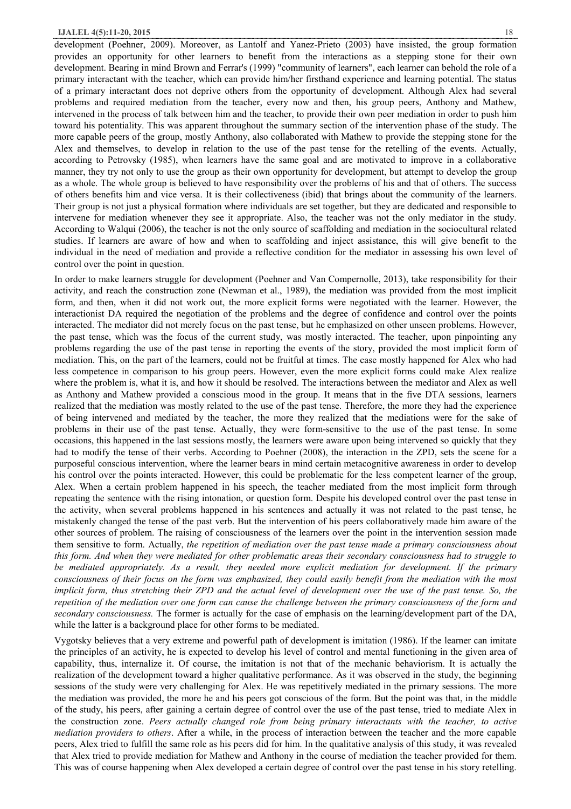development (Poehner, 2009). Moreover, as Lantolf and Yanez-Prieto (2003) have insisted, the group formation provides an opportunity for other learners to benefit from the interactions as a stepping stone for their own development. Bearing in mind Brown and Ferrar's (1999) "community of learners", each learner can behold the role of a primary interactant with the teacher, which can provide him/her firsthand experience and learning potential. The status of a primary interactant does not deprive others from the opportunity of development. Although Alex had several problems and required mediation from the teacher, every now and then, his group peers, Anthony and Mathew, intervened in the process of talk between him and the teacher, to provide their own peer mediation in order to push him toward his potentiality. This was apparent throughout the summary section of the intervention phase of the study. The more capable peers of the group, mostly Anthony, also collaborated with Mathew to provide the stepping stone for the Alex and themselves, to develop in relation to the use of the past tense for the retelling of the events. Actually, according to Petrovsky (1985), when learners have the same goal and are motivated to improve in a collaborative manner, they try not only to use the group as their own opportunity for development, but attempt to develop the group as a whole. The whole group is believed to have responsibility over the problems of his and that of others. The success of others benefits him and vice versa. It is their collectiveness (ibid) that brings about the community of the learners. Their group is not just a physical formation where individuals are set together, but they are dedicated and responsible to intervene for mediation whenever they see it appropriate. Also, the teacher was not the only mediator in the study. According to Walqui (2006), the teacher is not the only source of scaffolding and mediation in the sociocultural related studies. If learners are aware of how and when to scaffolding and inject assistance, this will give benefit to the individual in the need of mediation and provide a reflective condition for the mediator in assessing his own level of control over the point in question.

In order to make learners struggle for development (Poehner and Van Compernolle, 2013), take responsibility for their activity, and reach the construction zone (Newman et al., 1989), the mediation was provided from the most implicit form, and then, when it did not work out, the more explicit forms were negotiated with the learner. However, the interactionist DA required the negotiation of the problems and the degree of confidence and control over the points interacted. The mediator did not merely focus on the past tense, but he emphasized on other unseen problems. However, the past tense, which was the focus of the current study, was mostly interacted. The teacher, upon pinpointing any problems regarding the use of the past tense in reporting the events of the story, provided the most implicit form of mediation. This, on the part of the learners, could not be fruitful at times. The case mostly happened for Alex who had less competence in comparison to his group peers. However, even the more explicit forms could make Alex realize where the problem is, what it is, and how it should be resolved. The interactions between the mediator and Alex as well as Anthony and Mathew provided a conscious mood in the group. It means that in the five DTA sessions, learners realized that the mediation was mostly related to the use of the past tense. Therefore, the more they had the experience of being intervened and mediated by the teacher, the more they realized that the mediations were for the sake of problems in their use of the past tense. Actually, they were form-sensitive to the use of the past tense. In some occasions, this happened in the last sessions mostly, the learners were aware upon being intervened so quickly that they had to modify the tense of their verbs. According to Poehner (2008), the interaction in the ZPD, sets the scene for a purposeful conscious intervention, where the learner bears in mind certain metacognitive awareness in order to develop his control over the points interacted. However, this could be problematic for the less competent learner of the group, Alex. When a certain problem happened in his speech, the teacher mediated from the most implicit form through repeating the sentence with the rising intonation, or question form. Despite his developed control over the past tense in the activity, when several problems happened in his sentences and actually it was not related to the past tense, he mistakenly changed the tense of the past verb. But the intervention of his peers collaboratively made him aware of the other sources of problem. The raising of consciousness of the learners over the point in the intervention session made them sensitive to form. Actually, *the repetition of mediation over the past tense made a primary consciousness about*  this form. And when they were mediated for other problematic areas their secondary consciousness had to struggle to *be mediated appropriately. As a result, they needed more explicit mediation for development. If the primary*  consciousness of their focus on the form was emphasized, they could easily benefit from the mediation with the most implicit form, thus stretching their ZPD and the actual level of development over the use of the past tense. So, the repetition of the mediation over one form can cause the challenge between the primary consciousness of the form and *secondary consciousness.* The former is actually for the case of emphasis on the learning/development part of the DA, while the latter is a background place for other forms to be mediated.

Vygotsky believes that a very extreme and powerful path of development is imitation (1986). If the learner can imitate the principles of an activity, he is expected to develop his level of control and mental functioning in the given area of capability, thus, internalize it. Of course, the imitation is not that of the mechanic behaviorism. It is actually the realization of the development toward a higher qualitative performance. As it was observed in the study, the beginning sessions of the study were very challenging for Alex. He was repetitively mediated in the primary sessions. The more the mediation was provided, the more he and his peers got conscious of the form. But the point was that, in the middle of the study, his peers, after gaining a certain degree of control over the use of the past tense, tried to mediate Alex in the construction zone. *Peers actually changed role from being primary interactants with the teacher, to active mediation providers to others*. After a while, in the process of interaction between the teacher and the more capable peers, Alex tried to fulfill the same role as his peers did for him. In the qualitative analysis of this study, it was revealed that Alex tried to provide mediation for Mathew and Anthony in the course of mediation the teacher provided for them. This was of course happening when Alex developed a certain degree of control over the past tense in his story retelling.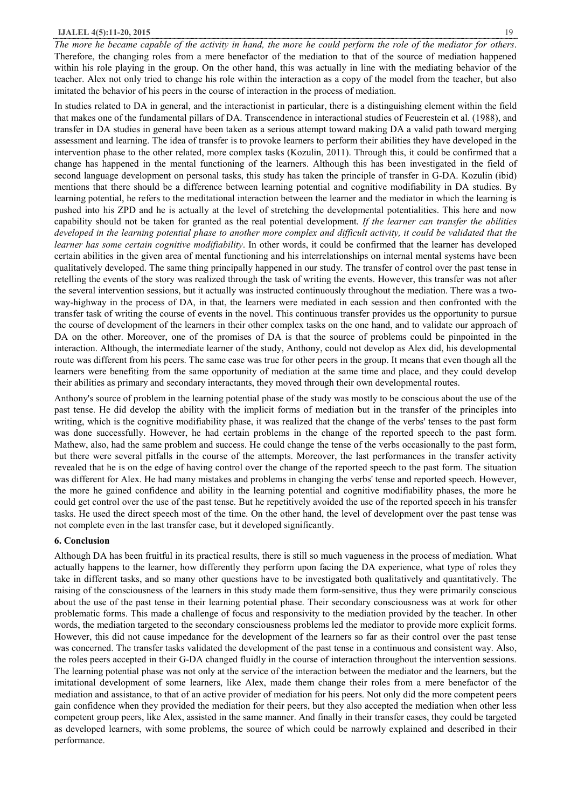The more he became capable of the activity in hand, the more he could perform the role of the mediator for others. Therefore, the changing roles from a mere benefactor of the mediation to that of the source of mediation happened within his role playing in the group. On the other hand, this was actually in line with the mediating behavior of the teacher. Alex not only tried to change his role within the interaction as a copy of the model from the teacher, but also imitated the behavior of his peers in the course of interaction in the process of mediation.

In studies related to DA in general, and the interactionist in particular, there is a distinguishing element within the field that makes one of the fundamental pillars of DA. Transcendence in interactional studies of Feuerestein et al. (1988), and transfer in DA studies in general have been taken as a serious attempt toward making DA a valid path toward merging assessment and learning. The idea of transfer is to provoke learners to perform their abilities they have developed in the intervention phase to the other related, more complex tasks (Kozulin, 2011). Through this, it could be confirmed that a change has happened in the mental functioning of the learners. Although this has been investigated in the field of second language development on personal tasks, this study has taken the principle of transfer in G-DA. Kozulin (ibid) mentions that there should be a difference between learning potential and cognitive modifiability in DA studies. By learning potential, he refers to the meditational interaction between the learner and the mediator in which the learning is pushed into his ZPD and he is actually at the level of stretching the developmental potentialities. This here and now capability should not be taken for granted as the real potential development. *If the learner can transfer the abilities*  developed in the learning potential phase to another more complex and difficult activity, it could be validated that the *learner has some certain cognitive modifiability*. In other words, it could be confirmed that the learner has developed certain abilities in the given area of mental functioning and his interrelationships on internal mental systems have been qualitatively developed. The same thing principally happened in our study. The transfer of control over the past tense in retelling the events of the story was realized through the task of writing the events. However, this transfer was not after the several intervention sessions, but it actually was instructed continuously throughout the mediation. There was a twoway-highway in the process of DA, in that, the learners were mediated in each session and then confronted with the transfer task of writing the course of events in the novel. This continuous transfer provides us the opportunity to pursue the course of development of the learners in their other complex tasks on the one hand, and to validate our approach of DA on the other. Moreover, one of the promises of DA is that the source of problems could be pinpointed in the interaction. Although, the intermediate learner of the study, Anthony, could not develop as Alex did, his developmental route was different from his peers. The same case was true for other peers in the group. It means that even though all the learners were benefiting from the same opportunity of mediation at the same time and place, and they could develop their abilities as primary and secondary interactants, they moved through their own developmental routes.

Anthony's source of problem in the learning potential phase of the study was mostly to be conscious about the use of the past tense. He did develop the ability with the implicit forms of mediation but in the transfer of the principles into writing, which is the cognitive modifiability phase, it was realized that the change of the verbs' tenses to the past form was done successfully. However, he had certain problems in the change of the reported speech to the past form. Mathew, also, had the same problem and success. He could change the tense of the verbs occasionally to the past form, but there were several pitfalls in the course of the attempts. Moreover, the last performances in the transfer activity revealed that he is on the edge of having control over the change of the reported speech to the past form. The situation was different for Alex. He had many mistakes and problems in changing the verbs' tense and reported speech. However, the more he gained confidence and ability in the learning potential and cognitive modifiability phases, the more he could get control over the use of the past tense. But he repetitively avoided the use of the reported speech in his transfer tasks. He used the direct speech most of the time. On the other hand, the level of development over the past tense was not complete even in the last transfer case, but it developed significantly.

## **6. Conclusion**

Although DA has been fruitful in its practical results, there is still so much vagueness in the process of mediation. What actually happens to the learner, how differently they perform upon facing the DA experience, what type of roles they take in different tasks, and so many other questions have to be investigated both qualitatively and quantitatively. The raising of the consciousness of the learners in this study made them form-sensitive, thus they were primarily conscious about the use of the past tense in their learning potential phase. Their secondary consciousness was at work for other problematic forms. This made a challenge of focus and responsivity to the mediation provided by the teacher. In other words, the mediation targeted to the secondary consciousness problems led the mediator to provide more explicit forms. However, this did not cause impedance for the development of the learners so far as their control over the past tense was concerned. The transfer tasks validated the development of the past tense in a continuous and consistent way. Also, the roles peers accepted in their G-DA changed fluidly in the course of interaction throughout the intervention sessions. The learning potential phase was not only at the service of the interaction between the mediator and the learners, but the imitational development of some learners, like Alex, made them change their roles from a mere benefactor of the mediation and assistance, to that of an active provider of mediation for his peers. Not only did the more competent peers gain confidence when they provided the mediation for their peers, but they also accepted the mediation when other less competent group peers, like Alex, assisted in the same manner. And finally in their transfer cases, they could be targeted as developed learners, with some problems, the source of which could be narrowly explained and described in their performance.